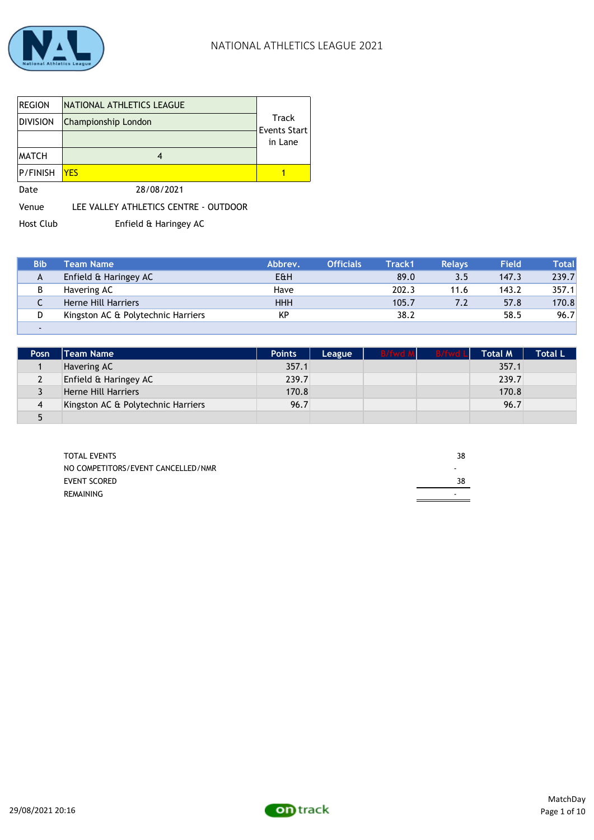

| <b>REGION</b><br>Division | NATIONAL ATHLETICS LEAGUE<br>Championship London | Track<br><b>Events Start</b><br>in Lane |
|---------------------------|--------------------------------------------------|-----------------------------------------|
| <b>MATCH</b>              |                                                  |                                         |
| <b>P/FINISH</b>           | <b>YES</b>                                       |                                         |
| Date                      | 28/08/2021                                       |                                         |

Venue LEE VALLEY ATHLETICS CENTRE - OUTDOOR

Host Club Enfield & Haringey AC

| <b>Bib</b> | <b>Team Name</b>                   | Abbrey.    | <b>Officials</b> | Track1 | <b>Relays</b> | <b>Field</b> | Totall |
|------------|------------------------------------|------------|------------------|--------|---------------|--------------|--------|
| A          | Enfield & Haringey AC              | E&H        |                  | 89.0   | 3.5           | 147.3        | 239.7  |
| в          | Havering AC                        | Have       |                  | 202.3  | 11.6          | 143.2        | 357.1  |
| ∼          | Herne Hill Harriers                | <b>HHH</b> |                  | 105.7  | 7.2           | 57.8         | 170.8  |
| D          | Kingston AC & Polytechnic Harriers | KP         |                  | 38.2   |               | 58.5         | 96.7   |
|            |                                    |            |                  |        |               |              |        |

| <b>Posn</b> | <b>Team Name</b>                   | <b>Points</b> | League | <b>B/fwd M</b> | <b>B/fwd Ll</b> | <b>Total M</b> | <b>Total L</b> |
|-------------|------------------------------------|---------------|--------|----------------|-----------------|----------------|----------------|
|             | Havering AC                        | 357.1         |        |                |                 | 357.1          |                |
|             | Enfield & Haringey AC              | 239.7         |        |                |                 | 239.7          |                |
|             | Herne Hill Harriers                | 170.8         |        |                |                 | 170.8          |                |
| 4           | Kingston AC & Polytechnic Harriers | 96.7          |        |                |                 | 96.7           |                |
| г.          |                                    |               |        |                |                 |                |                |

| <b>TOTAL EVENTS</b>                | 38 |
|------------------------------------|----|
| NO COMPETITORS/EVENT CANCELLED/NMR |    |
| <b>EVENT SCORED</b>                | 38 |
| REMAINING                          |    |
|                                    |    |

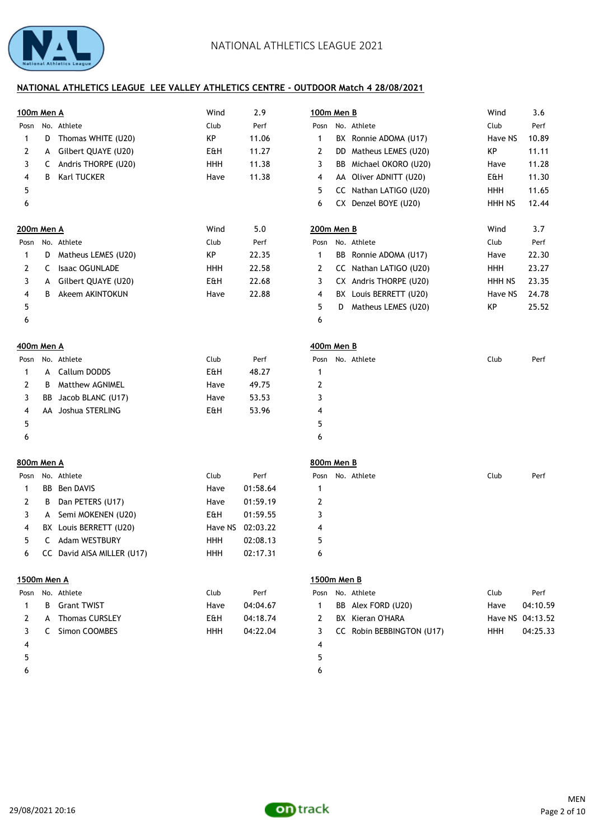

| 100m Men A  |    |                            | Wind       | 2.9      | 100m Men B   |   |                           | Wind       | 3.6              |
|-------------|----|----------------------------|------------|----------|--------------|---|---------------------------|------------|------------------|
| Posn        |    | No. Athlete                | Club       | Perf     | Posn         |   | No. Athlete               | Club       | Perf             |
| 1           | D  | Thomas WHITE (U20)         | KP         | 11.06    | 1            |   | BX Ronnie ADOMA (U17)     | Have NS    | 10.89            |
| 2           | A  | Gilbert QUAYE (U20)        | E&H        | 11.27    | 2            |   | DD Matheus LEMES (U20)    | KP         | 11.11            |
| 3           | C  | Andris THORPE (U20)        | <b>HHH</b> | 11.38    | 3            |   | BB Michael OKORO (U20)    | Have       | 11.28            |
| 4           | В  | Karl TUCKER                | Have       | 11.38    | 4            |   | AA Oliver ADNITT (U20)    | E&H        | 11.30            |
| 5           |    |                            |            |          | 5            |   | CC Nathan LATIGO (U20)    | <b>HHH</b> | 11.65            |
| 6           |    |                            |            |          | 6            |   | CX Denzel BOYE (U20)      | HHH NS     | 12.44            |
| 200m Men A  |    |                            | Wind       | 5.0      | 200m Men B   |   |                           | Wind       | 3.7              |
|             |    | Posn No. Athlete           | Club       | Perf     | Posn         |   | No. Athlete               | Club       | Perf             |
| 1           | D  | Matheus LEMES (U20)        | KP         | 22.35    | 1            |   | BB Ronnie ADOMA (U17)     | Have       | 22.30            |
| 2           | C  | Isaac OGUNLADE             | <b>HHH</b> | 22.58    | 2            |   | CC Nathan LATIGO (U20)    | <b>HHH</b> | 23.27            |
| 3           | A  | Gilbert QUAYE (U20)        | E&H        | 22.68    | 3            |   | CX Andris THORPE (U20)    | HHH NS     | 23.35            |
| 4           | B  | Akeem AKINTOKUN            | Have       | 22.88    | 4            |   | BX Louis BERRETT (U20)    | Have NS    | 24.78            |
| 5           |    |                            |            |          | 5            | D | Matheus LEMES (U20)       | KP         | 25.52            |
| 6           |    |                            |            |          | 6            |   |                           |            |                  |
| 400m Men A  |    |                            |            |          | 400m Men B   |   |                           |            |                  |
| Posn        |    | No. Athlete                | Club       | Perf     | Posn         |   | No. Athlete               | Club       | Perf             |
| 1           | A  | Callum DODDS               | E&H        | 48.27    | 1            |   |                           |            |                  |
| 2           | В  | Matthew AGNIMEL            | Have       | 49.75    | 2            |   |                           |            |                  |
| 3           | BB | Jacob BLANC (U17)          | Have       | 53.53    | 3            |   |                           |            |                  |
| 4           |    | AA Joshua STERLING         | E&H        | 53.96    | 4            |   |                           |            |                  |
| 5           |    |                            |            |          | 5            |   |                           |            |                  |
| 6           |    |                            |            |          | 6            |   |                           |            |                  |
| 800m Men A  |    |                            |            |          | 800m Men B   |   |                           |            |                  |
| Posn        |    | No. Athlete                | Club       | Perf     |              |   | Posn No. Athlete          | Club       | Perf             |
| 1           |    | <b>BB</b> Ben DAVIS        | Have       | 01:58.64 | 1            |   |                           |            |                  |
| 2           | В  | Dan PETERS (U17)           | Have       | 01:59.19 | 2            |   |                           |            |                  |
| 3           | A  | Semi MOKENEN (U20)         | E&H        | 01:59.55 | 3            |   |                           |            |                  |
| 4           |    | BX Louis BERRETT (U20)     | Have NS    | 02:03.22 | 4            |   |                           |            |                  |
| 5           |    | C Adam WESTBURY            | HHH        | 02:08.13 | 5            |   |                           |            |                  |
| 6           |    | CC David AISA MILLER (U17) | <b>HHH</b> | 02:17.31 | 6            |   |                           |            |                  |
| 1500m Men A |    |                            |            |          | 1500m Men B  |   |                           |            |                  |
| Posn        |    | No. Athlete                | Club       | Perf     | Posn         |   | No. Athlete               | Club       | Perf             |
| 1           | B  | <b>Grant TWIST</b>         | Have       | 04:04.67 | $\mathbf{1}$ |   | BB Alex FORD (U20)        | Have       | 04:10.59         |
| 2           | A  | <b>Thomas CURSLEY</b>      | E&H        | 04:18.74 | 2            |   | BX Kieran O'HARA          |            | Have NS 04:13.52 |
| 3           |    | C Simon COOMBES            | <b>HHH</b> | 04:22.04 | 3            |   | CC Robin BEBBINGTON (U17) | <b>HHH</b> | 04:25.33         |
| 4           |    |                            |            |          | 4            |   |                           |            |                  |
| 5           |    |                            |            |          | 5            |   |                           |            |                  |

 $\epsilon$  6

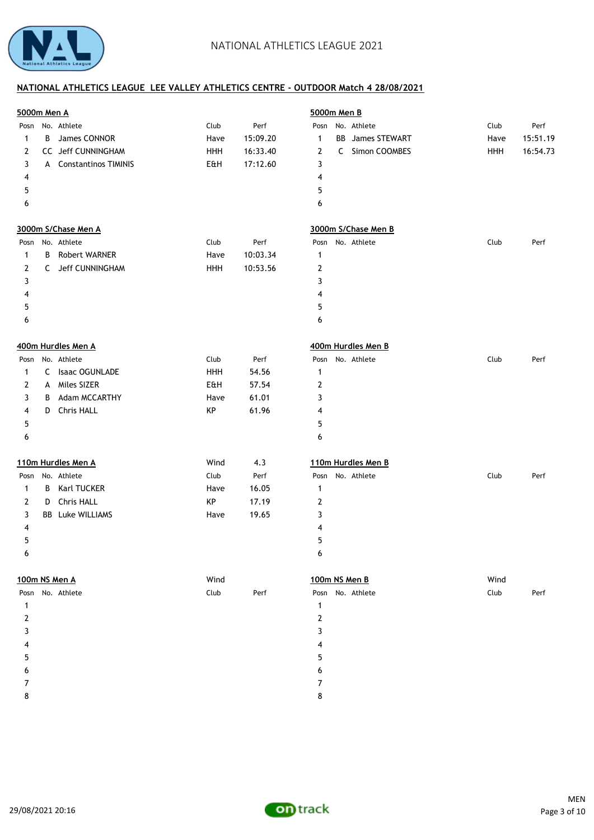

| <b>5000m Men A</b> |   |                        |      |          |                  | 5000m Men B             |      |          |
|--------------------|---|------------------------|------|----------|------------------|-------------------------|------|----------|
|                    |   | Posn No. Athlete       | Club | Perf     |                  | Posn No. Athlete        | Club | Perf     |
| $\mathbf{1}$       | В | James CONNOR           | Have | 15:09.20 | $\mathbf{1}$     | <b>BB</b> James STEWART | Have | 15:51.19 |
| 2                  |   | CC Jeff CUNNINGHAM     | HHH  | 16:33.40 | $\overline{2}$   | C Simon COOMBES         | HHH  | 16:54.73 |
| 3                  |   | A Constantinos TIMINIS | E&H  | 17:12.60 | 3                |                         |      |          |
| 4                  |   |                        |      |          | 4                |                         |      |          |
| 5                  |   |                        |      |          | 5                |                         |      |          |
| 6                  |   |                        |      |          | 6                |                         |      |          |
|                    |   | 3000m S/Chase Men A    |      |          |                  | 3000m S/Chase Men B     |      |          |
| Posn               |   | No. Athlete            | Club | Perf     |                  | Posn No. Athlete        | Club | Perf     |
| 1                  | B | Robert WARNER          | Have | 10:03.34 | 1                |                         |      |          |
| 2                  |   | C Jeff CUNNINGHAM      | HHH  | 10:53.56 | $\boldsymbol{2}$ |                         |      |          |
| 3                  |   |                        |      |          | 3                |                         |      |          |
| 4                  |   |                        |      |          | 4                |                         |      |          |
| 5                  |   |                        |      |          | 5                |                         |      |          |
| 6                  |   |                        |      |          | 6                |                         |      |          |
|                    |   |                        |      |          |                  |                         |      |          |
|                    |   | 400m Hurdles Men A     |      |          |                  | 400m Hurdles Men B      |      |          |
| Posn               |   | No. Athlete            | Club | Perf     |                  | Posn No. Athlete        | Club | Perf     |
| $\mathbf{1}$       | C | <b>Isaac OGUNLADE</b>  | HHH  | 54.56    | $\mathbf{1}$     |                         |      |          |
| 2                  | A | Miles SIZER            | E&H  | 57.54    | $\overline{2}$   |                         |      |          |
| 3                  | В | Adam MCCARTHY          | Have | 61.01    | 3                |                         |      |          |
| 4                  | D | Chris HALL             | KP   | 61.96    | 4                |                         |      |          |
| 5                  |   |                        |      |          | 5                |                         |      |          |
| 6                  |   |                        |      |          | 6                |                         |      |          |
|                    |   | 110m Hurdles Men A     | Wind | 4.3      |                  | 110m Hurdles Men B      |      |          |
| Posn               |   | No. Athlete            | Club | Perf     |                  | Posn No. Athlete        | Club | Perf     |
| $\mathbf{1}$       | B | Karl TUCKER            | Have | 16.05    | $\mathbf{1}$     |                         |      |          |
| 2                  | D | <b>Chris HALL</b>      | KP   | 17.19    | $\boldsymbol{2}$ |                         |      |          |
| 3                  |   | BB Luke WILLIAMS       | Have | 19.65    | 3                |                         |      |          |
|                    |   |                        |      |          |                  |                         |      |          |
| 4                  |   |                        |      |          | 4                |                         |      |          |
| 5                  |   |                        |      |          | 5                |                         |      |          |
| 6                  |   |                        |      |          | 6                |                         |      |          |
|                    |   | 100m NS Men A          | Wind |          |                  | 100m NS Men B           | Wind |          |
|                    |   | Posn No. Athlete       | Club | Perf     |                  | Posn No. Athlete        | Club | Perf     |
| $\mathbf{1}$       |   |                        |      |          | $\mathbf{1}$     |                         |      |          |
| $\overline{2}$     |   |                        |      |          | $\boldsymbol{2}$ |                         |      |          |
| 3                  |   |                        |      |          | 3                |                         |      |          |
| 4                  |   |                        |      |          | 4                |                         |      |          |
| 5                  |   |                        |      |          | 5                |                         |      |          |
| 6                  |   |                        |      |          | 6                |                         |      |          |
| $\overline{7}$     |   |                        |      |          | 7                |                         |      |          |
| 8                  |   |                        |      |          | 8                |                         |      |          |
|                    |   |                        |      |          |                  |                         |      |          |

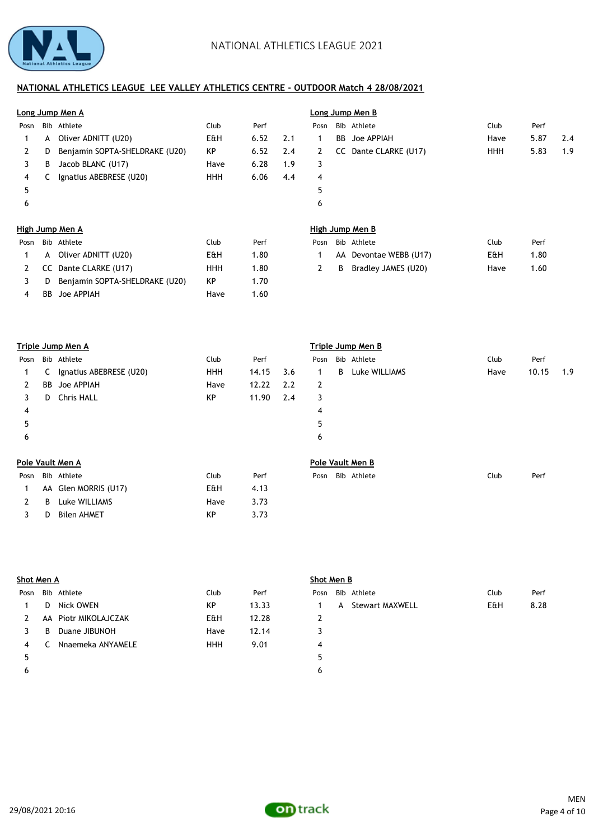

|      | Long Jump Men A |                                |            |      |     |      | Long Jump Men B |                        |            |      |     |  |  |
|------|-----------------|--------------------------------|------------|------|-----|------|-----------------|------------------------|------------|------|-----|--|--|
| Posn |                 | Bib Athlete                    | Club       | Perf |     | Posn |                 | Bib Athlete            | Club       | Perf |     |  |  |
| 1    | A               | Oliver ADNITT (U20)            | E&H        | 6.52 | 2.1 | 1    | BB              | Joe APPIAH             | Have       | 5.87 | 2.4 |  |  |
| 2    | D               | Benjamin SOPTA-SHELDRAKE (U20) | KP         | 6.52 | 2.4 | 2    | cc              | Dante CLARKE (U17)     | <b>HHH</b> | 5.83 | 1.9 |  |  |
| 3    | В               | Jacob BLANC (U17)              | Have       | 6.28 | 1.9 | 3    |                 |                        |            |      |     |  |  |
| 4    | C               | Ignatius ABEBRESE (U20)        | <b>HHH</b> | 6.06 | 4.4 | 4    |                 |                        |            |      |     |  |  |
| 5    |                 |                                |            |      |     | 5    |                 |                        |            |      |     |  |  |
| 6    |                 |                                |            |      |     | 6    |                 |                        |            |      |     |  |  |
|      |                 | High Jump Men A                |            |      |     |      |                 | High Jump Men B        |            |      |     |  |  |
| Posn |                 | Bib Athlete                    | Club       | Perf |     | Posn |                 | Bib Athlete            | Club       | Perf |     |  |  |
| 1    | A               | Oliver ADNITT (U20)            | E&H        | 1.80 |     | 1    |                 | AA Devontae WEBB (U17) | E&H        | 1.80 |     |  |  |
| 2    | cc              | Dante CLARKE (U17)             | <b>HHH</b> | 1.80 |     | 2    | B               | Bradley JAMES (U20)    | Have       | 1.60 |     |  |  |
| 3    | D               | Benjamin SOPTA-SHELDRAKE (U20) | KP         | 1.70 |     |      |                 |                        |            |      |     |  |  |
| 4    | <b>BB</b>       | Joe APPIAH                     | Have       | 1.60 |     |      |                 |                        |            |      |     |  |  |
|      |                 |                                |            |      |     |      |                 |                        |            |      |     |  |  |
|      |                 | <b>Triple Jump Men A</b>       |            |      |     |      |                 | Triple Jump Men B      |            |      |     |  |  |
| Posn |                 | Bib Athlete                    | Club       | Perf |     | Posn |                 | Bib Athlete            | Club       | Perf |     |  |  |

| Posn |    | Bib Athlete             | Club       | Perf  |     | Posn |   | Bib Athlete      | Club | Perf  |     |
|------|----|-------------------------|------------|-------|-----|------|---|------------------|------|-------|-----|
|      | C  | Ignatius ABEBRESE (U20) | <b>HHH</b> | 14.15 | 3.6 | 1    | B | Luke WILLIAMS    | Have | 10.15 | 1.9 |
| 2    |    | <b>BB</b> Joe APPIAH    | Have       | 12.22 | 2.2 | 2    |   |                  |      |       |     |
| 3    | D. | <b>Chris HALL</b>       | KP         | 11.90 | 2.4 | 3    |   |                  |      |       |     |
| 4    |    |                         |            |       |     | 4    |   |                  |      |       |     |
| 5    |    |                         |            |       |     | 5    |   |                  |      |       |     |
| 6    |    |                         |            |       |     | 6    |   |                  |      |       |     |
|      |    | Pole Vault Men A        |            |       |     |      |   | Pole Vault Men B |      |       |     |
| Posn |    | Bib Athlete             | Club       | Perf  |     | Posn |   | Bib Athlete      | Club | Perf  |     |
|      |    | AA Glen MORRIS (U17)    | E&H        | 4.13  |     |      |   |                  |      |       |     |
|      | B  | Luke WILLIAMS           | Have       | 3.73  |     |      |   |                  |      |       |     |
| 3    | D  | <b>Bilen AHMET</b>      | KP         | 3.73  |     |      |   |                  |      |       |     |

| Shot Men A |   |                      |            |       | Shot Men B                                    |      |  |  |  |  |  |
|------------|---|----------------------|------------|-------|-----------------------------------------------|------|--|--|--|--|--|
| Posn       |   | Bib Athlete          | Club       | Perf  | Club<br>Bib Athlete<br>Posn                   | Perf |  |  |  |  |  |
|            | D | Nick OWEN            | KP         | 13.33 | <b>E&amp;H</b><br><b>Stewart MAXWELL</b><br>A | 8.28 |  |  |  |  |  |
|            |   | AA Piotr MIKOLAJCZAK | E&H        | 12.28 |                                               |      |  |  |  |  |  |
|            | B | Duane JIBUNOH        | Have       | 12.14 |                                               |      |  |  |  |  |  |
| 4          |   | Nnaemeka ANYAMELE    | <b>HHH</b> | 9.01  | 4                                             |      |  |  |  |  |  |
|            |   |                      |            |       | 5                                             |      |  |  |  |  |  |
|            |   |                      |            |       | b                                             |      |  |  |  |  |  |

| ٦ |  |
|---|--|

# **Shot Men B**

| Posn           | Bib Athlete       | Club           | Perf |
|----------------|-------------------|----------------|------|
| $\overline{1}$ | A Stewart MAXWELL | <b>E&amp;H</b> | 8.28 |
| 2              |                   |                |      |
| 3              |                   |                |      |
| 4              |                   |                |      |
| 5              |                   |                |      |
| 6              |                   |                |      |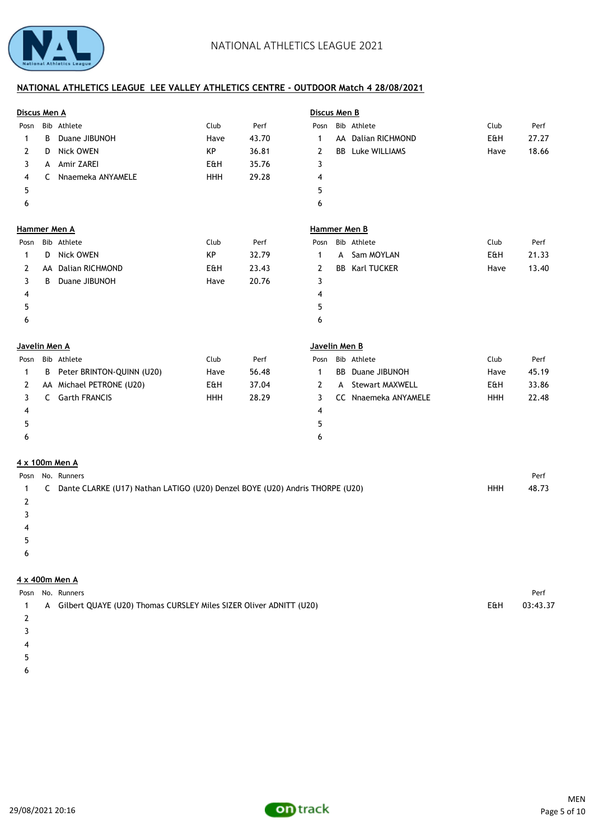

| Discus Men A  |                                                                                |                           |            |       | Discus Men B        |    |                         |            |       |
|---------------|--------------------------------------------------------------------------------|---------------------------|------------|-------|---------------------|----|-------------------------|------------|-------|
| Posn          |                                                                                | Bib Athlete               | Club       | Perf  | Posn                |    | Bib Athlete             | Club       | Perf  |
| 1             | B                                                                              | Duane JIBUNOH             | Have       | 43.70 | 1                   |    | AA Dalian RICHMOND      | E&H        | 27.27 |
| 2             | D                                                                              | <b>Nick OWEN</b>          | KP         | 36.81 | 2                   |    | <b>BB</b> Luke WILLIAMS | Have       | 18.66 |
| 3             | A                                                                              | Amir ZAREI                | E&H        | 35.76 | 3                   |    |                         |            |       |
| 4             | C                                                                              | Nnaemeka ANYAMELE         | <b>HHH</b> | 29.28 | 4                   |    |                         |            |       |
| 5             |                                                                                |                           |            |       | 5                   |    |                         |            |       |
| 6             |                                                                                |                           |            |       | 6                   |    |                         |            |       |
|               |                                                                                | <b>Hammer Men A</b>       |            |       | <b>Hammer Men B</b> |    |                         |            |       |
| Posn          |                                                                                | Bib Athlete               | Club       | Perf  | Posn                |    | Bib Athlete             | Club       | Perf  |
| 1             | D                                                                              | <b>Nick OWEN</b>          | KP         | 32.79 | $\mathbf{1}$        | A  | Sam MOYLAN              | E&H        | 21.33 |
| 2             | AA                                                                             | <b>Dalian RICHMOND</b>    | E&H        | 23.43 | 2                   | BB | Karl TUCKER             | Have       | 13.40 |
| 3             | B                                                                              | Duane JIBUNOH             | Have       | 20.76 | 3                   |    |                         |            |       |
| 4             |                                                                                |                           |            |       | 4                   |    |                         |            |       |
| 5             |                                                                                |                           |            |       | 5                   |    |                         |            |       |
| 6             |                                                                                |                           |            |       | 6                   |    |                         |            |       |
| Javelin Men A |                                                                                |                           |            |       | Javelin Men B       |    |                         |            |       |
| Posn          |                                                                                | Bib Athlete               | Club       | Perf  | Posn                |    | Bib Athlete             | Club       | Perf  |
| 1             | B                                                                              | Peter BRINTON-QUINN (U20) | Have       | 56.48 | $\mathbf{1}$        | BB | Duane JIBUNOH           | Have       | 45.19 |
| 2             |                                                                                | AA Michael PETRONE (U20)  | E&H        | 37.04 | 2                   | A  | <b>Stewart MAXWELL</b>  | E&H        | 33.86 |
| 3             |                                                                                | C Garth FRANCIS           | <b>HHH</b> | 28.29 | 3                   |    | CC Nnaemeka ANYAMELE    | <b>HHH</b> | 22.48 |
| 4             |                                                                                |                           |            |       | 4                   |    |                         |            |       |
| 5             |                                                                                |                           |            |       | 5                   |    |                         |            |       |
| 6             |                                                                                |                           |            |       | 6                   |    |                         |            |       |
|               |                                                                                | 4 x 100m Men A            |            |       |                     |    |                         |            |       |
| Posn          |                                                                                | No. Runners               |            |       |                     |    |                         |            | Perf  |
| 1             | C Dante CLARKE (U17) Nathan LATIGO (U20) Denzel BOYE (U20) Andris THORPE (U20) | <b>HHH</b>                | 48.73      |       |                     |    |                         |            |       |

2

- 3
- 4
- $5\,$
- $\epsilon$

# **4 x 400m Men A**

|  | Posn No. Runners                                                     |     | Perf     |
|--|----------------------------------------------------------------------|-----|----------|
|  | A Gilbert QUAYE (U20) Thomas CURSLEY Miles SIZER Oliver ADNITT (U20) | E&H | 03:43.37 |
|  |                                                                      |     |          |

- 
- 3
- 4
- $5\,$
- $\epsilon$

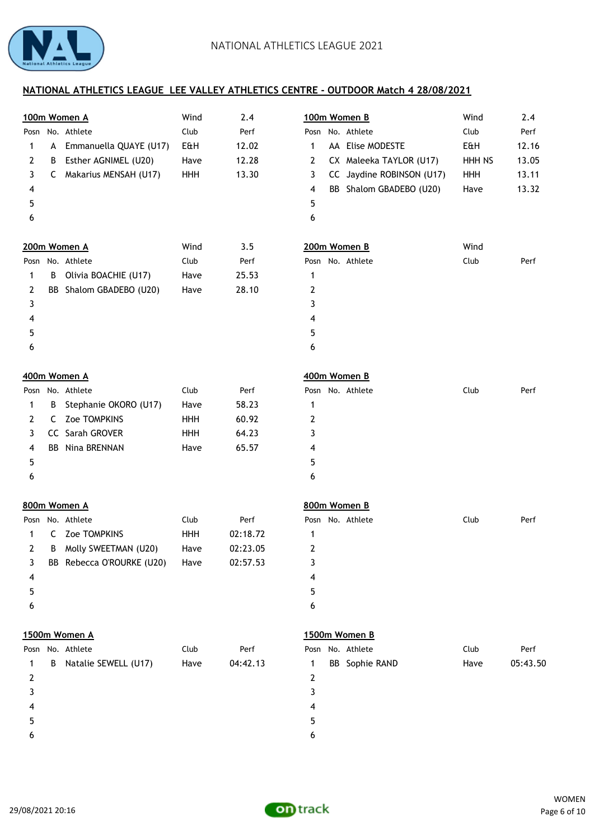

|                         |   | 100m Women A              | Wind | 2.4      | 100m Women B     |                           | Wind   | 2.4      |
|-------------------------|---|---------------------------|------|----------|------------------|---------------------------|--------|----------|
| Posn                    |   | No. Athlete               | Club | Perf     | Posn No. Athlete |                           | Club   | Perf     |
| 1                       | A | Emmanuella QUAYE (U17)    | E&H  | 12.02    | $\mathbf{1}$     | AA Elise MODESTE          | E&H    | 12.16    |
| 2                       | B | Esther AGNIMEL (U20)      | Have | 12.28    | $\overline{2}$   | CX Maleeka TAYLOR (U17)   | HHH NS | 13.05    |
| 3                       | C | Makarius MENSAH (U17)     | HHH  | 13.30    | 3                | CC Jaydine ROBINSON (U17) | HHH    | 13.11    |
| 4                       |   |                           |      |          | 4                | BB Shalom GBADEBO (U20)   | Have   | 13.32    |
| 5                       |   |                           |      |          | 5                |                           |        |          |
| 6                       |   |                           |      |          | 6                |                           |        |          |
|                         |   | 200m Women A              | Wind | 3.5      | 200m Women B     |                           | Wind   |          |
|                         |   | Posn No. Athlete          | Club | Perf     | Posn No. Athlete |                           | Club   | Perf     |
| 1                       | В | Olivia BOACHIE (U17)      | Have | 25.53    | $\mathbf 1$      |                           |        |          |
| $\overline{2}$          |   | BB Shalom GBADEBO (U20)   | Have | 28.10    | 2                |                           |        |          |
| 3                       |   |                           |      |          | 3                |                           |        |          |
| 4                       |   |                           |      |          | 4                |                           |        |          |
| 5                       |   |                           |      |          | 5                |                           |        |          |
| 6                       |   |                           |      |          | 6                |                           |        |          |
|                         |   | 400m Women A              |      |          | 400m Women B     |                           |        |          |
|                         |   | Posn No. Athlete          | Club | Perf     | Posn No. Athlete |                           | Club   | Perf     |
| 1                       | В | Stephanie OKORO (U17)     | Have | 58.23    | 1                |                           |        |          |
| $\overline{2}$          | C | Zoe TOMPKINS              | HHH  | 60.92    | $\overline{2}$   |                           |        |          |
| 3                       |   | CC Sarah GROVER           | HHH  | 64.23    | 3                |                           |        |          |
| $\overline{\mathbf{4}}$ |   | <b>BB</b> Nina BRENNAN    | Have | 65.57    | 4                |                           |        |          |
| 5                       |   |                           |      |          | 5                |                           |        |          |
| 6                       |   |                           |      |          | 6                |                           |        |          |
|                         |   | 800m Women A              |      |          | 800m Women B     |                           |        |          |
|                         |   | Posn No. Athlete          | Club | Perf     | Posn No. Athlete |                           | Club   | Perf     |
| 1                       | C | Zoe TOMPKINS              | HHH  | 02:18.72 | 1                |                           |        |          |
| 2                       | В | Molly SWEETMAN (U20)      | Have | 02:23.05 | 2                |                           |        |          |
| 3                       |   | BB Rebecca O'ROURKE (U20) | Have | 02:57.53 | 3                |                           |        |          |
| 4                       |   |                           |      |          | 4                |                           |        |          |
| 5                       |   |                           |      |          | 5                |                           |        |          |
| 6                       |   |                           |      |          | 6                |                           |        |          |
|                         |   | 1500m Women A             |      |          | 1500m Women B    |                           |        |          |
|                         |   | Posn No. Athlete          | Club | Perf     | Posn No. Athlete |                           | Club   | Perf     |
| 1                       | B | Natalie SEWELL (U17)      | Have | 04:42.13 | $\mathbf{1}$     | <b>BB</b> Sophie RAND     | Have   | 05:43.50 |
| $\overline{2}$          |   |                           |      |          | $\overline{2}$   |                           |        |          |
| 3                       |   |                           |      |          | 3                |                           |        |          |
| 4                       |   |                           |      |          | 4                |                           |        |          |
| 5                       |   |                           |      |          | 5                |                           |        |          |
| 6                       |   |                           |      |          | 6                |                           |        |          |
|                         |   |                           |      |          |                  |                           |        |          |

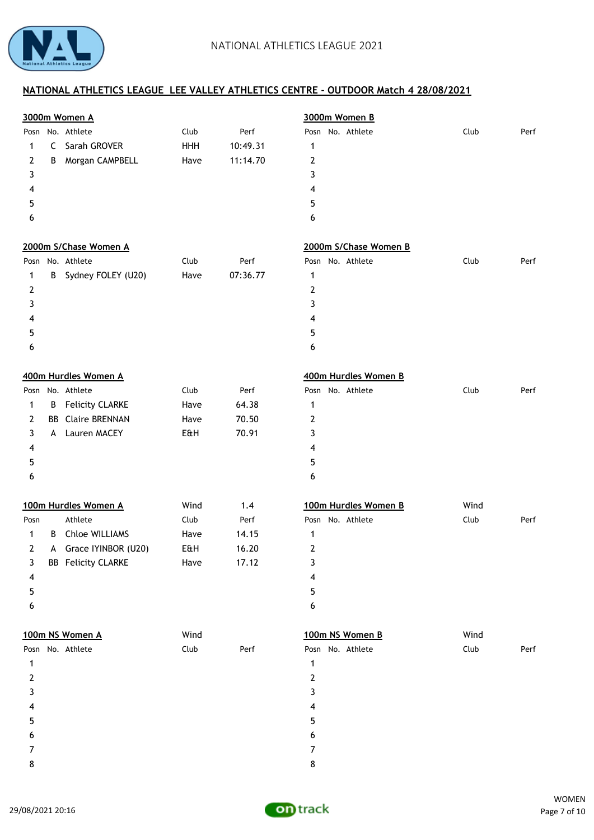

| No. Athlete<br>Club<br>Posn No. Athlete<br>Posn<br>Perf<br>Club<br>Perf<br>10:49.31<br>Sarah GROVER<br>HHH<br>C<br>1<br>1<br>$\overline{2}$<br>Morgan CAMPBELL<br>11:14.70<br>2<br>Have<br>B<br>3<br>3<br>4<br>4<br>5<br>5<br>6<br>6<br>2000m S/Chase Women A<br>2000m S/Chase Women B<br>No. Athlete<br>Posn No. Athlete<br>Club<br>Perf<br>Club<br>Perf<br>Posn<br>Sydney FOLEY (U20)<br>Have<br>07:36.77<br>$\mathbf{1}$<br>B<br>1<br>$\overline{2}$<br>2<br>3<br>3<br>4<br>4<br>5<br>5<br>6<br>6<br>400m Hurdles Women A<br>400m Hurdles Women B<br>No. Athlete<br>Club<br>Perf<br>Posn No. Athlete<br>Club<br>Perf<br>Posn<br><b>Felicity CLARKE</b><br>64.38<br>B<br>Have<br>1<br>1<br><b>Claire BRENNAN</b><br>Have<br>70.50<br>$\overline{2}$<br>2<br>BB<br>Lauren MACEY<br>70.91<br>3<br>E&H<br>3<br>A<br>4<br>4<br>5<br>5<br>6<br>6<br>100m Hurdles Women A<br>Wind<br>100m Hurdles Women B<br>Wind<br>1.4<br>Athlete<br>Club<br>Posn No. Athlete<br>Club<br>Perf<br>Posn<br>Perf<br>Chloe WILLIAMS<br>14.15<br>B<br>Have<br>$\mathbf 1$<br>1<br>Grace IYINBOR (U20)<br>16.20<br>$\overline{2}$<br>2<br>E&H<br>A<br><b>BB</b> Felicity CLARKE<br>Have<br>17.12<br>3<br>3<br>4<br>4<br>5<br>5<br>6<br>6<br>100m NS Women A<br>Wind<br>100m NS Women B<br>Wind<br>Posn No. Athlete<br>Club<br>Posn No. Athlete<br>Club<br>Perf<br>Perf<br>1<br>1<br>$\mathbf{2}$<br>2<br>3<br>3<br>4<br>4<br>5<br>5<br>6<br>6<br>7<br>7 |   | 3000m Women A |  | 3000m Women B |  |
|---------------------------------------------------------------------------------------------------------------------------------------------------------------------------------------------------------------------------------------------------------------------------------------------------------------------------------------------------------------------------------------------------------------------------------------------------------------------------------------------------------------------------------------------------------------------------------------------------------------------------------------------------------------------------------------------------------------------------------------------------------------------------------------------------------------------------------------------------------------------------------------------------------------------------------------------------------------------------------------------------------------------------------------------------------------------------------------------------------------------------------------------------------------------------------------------------------------------------------------------------------------------------------------------------------------------------------------------------------------------------------------------------------------------------------|---|---------------|--|---------------|--|
|                                                                                                                                                                                                                                                                                                                                                                                                                                                                                                                                                                                                                                                                                                                                                                                                                                                                                                                                                                                                                                                                                                                                                                                                                                                                                                                                                                                                                                 |   |               |  |               |  |
|                                                                                                                                                                                                                                                                                                                                                                                                                                                                                                                                                                                                                                                                                                                                                                                                                                                                                                                                                                                                                                                                                                                                                                                                                                                                                                                                                                                                                                 |   |               |  |               |  |
|                                                                                                                                                                                                                                                                                                                                                                                                                                                                                                                                                                                                                                                                                                                                                                                                                                                                                                                                                                                                                                                                                                                                                                                                                                                                                                                                                                                                                                 |   |               |  |               |  |
|                                                                                                                                                                                                                                                                                                                                                                                                                                                                                                                                                                                                                                                                                                                                                                                                                                                                                                                                                                                                                                                                                                                                                                                                                                                                                                                                                                                                                                 |   |               |  |               |  |
|                                                                                                                                                                                                                                                                                                                                                                                                                                                                                                                                                                                                                                                                                                                                                                                                                                                                                                                                                                                                                                                                                                                                                                                                                                                                                                                                                                                                                                 |   |               |  |               |  |
|                                                                                                                                                                                                                                                                                                                                                                                                                                                                                                                                                                                                                                                                                                                                                                                                                                                                                                                                                                                                                                                                                                                                                                                                                                                                                                                                                                                                                                 |   |               |  |               |  |
|                                                                                                                                                                                                                                                                                                                                                                                                                                                                                                                                                                                                                                                                                                                                                                                                                                                                                                                                                                                                                                                                                                                                                                                                                                                                                                                                                                                                                                 |   |               |  |               |  |
|                                                                                                                                                                                                                                                                                                                                                                                                                                                                                                                                                                                                                                                                                                                                                                                                                                                                                                                                                                                                                                                                                                                                                                                                                                                                                                                                                                                                                                 |   |               |  |               |  |
|                                                                                                                                                                                                                                                                                                                                                                                                                                                                                                                                                                                                                                                                                                                                                                                                                                                                                                                                                                                                                                                                                                                                                                                                                                                                                                                                                                                                                                 |   |               |  |               |  |
|                                                                                                                                                                                                                                                                                                                                                                                                                                                                                                                                                                                                                                                                                                                                                                                                                                                                                                                                                                                                                                                                                                                                                                                                                                                                                                                                                                                                                                 |   |               |  |               |  |
|                                                                                                                                                                                                                                                                                                                                                                                                                                                                                                                                                                                                                                                                                                                                                                                                                                                                                                                                                                                                                                                                                                                                                                                                                                                                                                                                                                                                                                 |   |               |  |               |  |
|                                                                                                                                                                                                                                                                                                                                                                                                                                                                                                                                                                                                                                                                                                                                                                                                                                                                                                                                                                                                                                                                                                                                                                                                                                                                                                                                                                                                                                 |   |               |  |               |  |
|                                                                                                                                                                                                                                                                                                                                                                                                                                                                                                                                                                                                                                                                                                                                                                                                                                                                                                                                                                                                                                                                                                                                                                                                                                                                                                                                                                                                                                 |   |               |  |               |  |
|                                                                                                                                                                                                                                                                                                                                                                                                                                                                                                                                                                                                                                                                                                                                                                                                                                                                                                                                                                                                                                                                                                                                                                                                                                                                                                                                                                                                                                 |   |               |  |               |  |
|                                                                                                                                                                                                                                                                                                                                                                                                                                                                                                                                                                                                                                                                                                                                                                                                                                                                                                                                                                                                                                                                                                                                                                                                                                                                                                                                                                                                                                 |   |               |  |               |  |
|                                                                                                                                                                                                                                                                                                                                                                                                                                                                                                                                                                                                                                                                                                                                                                                                                                                                                                                                                                                                                                                                                                                                                                                                                                                                                                                                                                                                                                 |   |               |  |               |  |
|                                                                                                                                                                                                                                                                                                                                                                                                                                                                                                                                                                                                                                                                                                                                                                                                                                                                                                                                                                                                                                                                                                                                                                                                                                                                                                                                                                                                                                 |   |               |  |               |  |
|                                                                                                                                                                                                                                                                                                                                                                                                                                                                                                                                                                                                                                                                                                                                                                                                                                                                                                                                                                                                                                                                                                                                                                                                                                                                                                                                                                                                                                 |   |               |  |               |  |
|                                                                                                                                                                                                                                                                                                                                                                                                                                                                                                                                                                                                                                                                                                                                                                                                                                                                                                                                                                                                                                                                                                                                                                                                                                                                                                                                                                                                                                 |   |               |  |               |  |
|                                                                                                                                                                                                                                                                                                                                                                                                                                                                                                                                                                                                                                                                                                                                                                                                                                                                                                                                                                                                                                                                                                                                                                                                                                                                                                                                                                                                                                 |   |               |  |               |  |
|                                                                                                                                                                                                                                                                                                                                                                                                                                                                                                                                                                                                                                                                                                                                                                                                                                                                                                                                                                                                                                                                                                                                                                                                                                                                                                                                                                                                                                 |   |               |  |               |  |
|                                                                                                                                                                                                                                                                                                                                                                                                                                                                                                                                                                                                                                                                                                                                                                                                                                                                                                                                                                                                                                                                                                                                                                                                                                                                                                                                                                                                                                 |   |               |  |               |  |
|                                                                                                                                                                                                                                                                                                                                                                                                                                                                                                                                                                                                                                                                                                                                                                                                                                                                                                                                                                                                                                                                                                                                                                                                                                                                                                                                                                                                                                 |   |               |  |               |  |
|                                                                                                                                                                                                                                                                                                                                                                                                                                                                                                                                                                                                                                                                                                                                                                                                                                                                                                                                                                                                                                                                                                                                                                                                                                                                                                                                                                                                                                 |   |               |  |               |  |
|                                                                                                                                                                                                                                                                                                                                                                                                                                                                                                                                                                                                                                                                                                                                                                                                                                                                                                                                                                                                                                                                                                                                                                                                                                                                                                                                                                                                                                 |   |               |  |               |  |
|                                                                                                                                                                                                                                                                                                                                                                                                                                                                                                                                                                                                                                                                                                                                                                                                                                                                                                                                                                                                                                                                                                                                                                                                                                                                                                                                                                                                                                 |   |               |  |               |  |
|                                                                                                                                                                                                                                                                                                                                                                                                                                                                                                                                                                                                                                                                                                                                                                                                                                                                                                                                                                                                                                                                                                                                                                                                                                                                                                                                                                                                                                 |   |               |  |               |  |
|                                                                                                                                                                                                                                                                                                                                                                                                                                                                                                                                                                                                                                                                                                                                                                                                                                                                                                                                                                                                                                                                                                                                                                                                                                                                                                                                                                                                                                 |   |               |  |               |  |
|                                                                                                                                                                                                                                                                                                                                                                                                                                                                                                                                                                                                                                                                                                                                                                                                                                                                                                                                                                                                                                                                                                                                                                                                                                                                                                                                                                                                                                 |   |               |  |               |  |
|                                                                                                                                                                                                                                                                                                                                                                                                                                                                                                                                                                                                                                                                                                                                                                                                                                                                                                                                                                                                                                                                                                                                                                                                                                                                                                                                                                                                                                 |   |               |  |               |  |
|                                                                                                                                                                                                                                                                                                                                                                                                                                                                                                                                                                                                                                                                                                                                                                                                                                                                                                                                                                                                                                                                                                                                                                                                                                                                                                                                                                                                                                 |   |               |  |               |  |
|                                                                                                                                                                                                                                                                                                                                                                                                                                                                                                                                                                                                                                                                                                                                                                                                                                                                                                                                                                                                                                                                                                                                                                                                                                                                                                                                                                                                                                 |   |               |  |               |  |
|                                                                                                                                                                                                                                                                                                                                                                                                                                                                                                                                                                                                                                                                                                                                                                                                                                                                                                                                                                                                                                                                                                                                                                                                                                                                                                                                                                                                                                 |   |               |  |               |  |
|                                                                                                                                                                                                                                                                                                                                                                                                                                                                                                                                                                                                                                                                                                                                                                                                                                                                                                                                                                                                                                                                                                                                                                                                                                                                                                                                                                                                                                 |   |               |  |               |  |
|                                                                                                                                                                                                                                                                                                                                                                                                                                                                                                                                                                                                                                                                                                                                                                                                                                                                                                                                                                                                                                                                                                                                                                                                                                                                                                                                                                                                                                 |   |               |  |               |  |
|                                                                                                                                                                                                                                                                                                                                                                                                                                                                                                                                                                                                                                                                                                                                                                                                                                                                                                                                                                                                                                                                                                                                                                                                                                                                                                                                                                                                                                 |   |               |  |               |  |
|                                                                                                                                                                                                                                                                                                                                                                                                                                                                                                                                                                                                                                                                                                                                                                                                                                                                                                                                                                                                                                                                                                                                                                                                                                                                                                                                                                                                                                 |   |               |  |               |  |
|                                                                                                                                                                                                                                                                                                                                                                                                                                                                                                                                                                                                                                                                                                                                                                                                                                                                                                                                                                                                                                                                                                                                                                                                                                                                                                                                                                                                                                 |   |               |  |               |  |
|                                                                                                                                                                                                                                                                                                                                                                                                                                                                                                                                                                                                                                                                                                                                                                                                                                                                                                                                                                                                                                                                                                                                                                                                                                                                                                                                                                                                                                 |   |               |  |               |  |
|                                                                                                                                                                                                                                                                                                                                                                                                                                                                                                                                                                                                                                                                                                                                                                                                                                                                                                                                                                                                                                                                                                                                                                                                                                                                                                                                                                                                                                 |   |               |  |               |  |
|                                                                                                                                                                                                                                                                                                                                                                                                                                                                                                                                                                                                                                                                                                                                                                                                                                                                                                                                                                                                                                                                                                                                                                                                                                                                                                                                                                                                                                 | 8 |               |  | 8             |  |

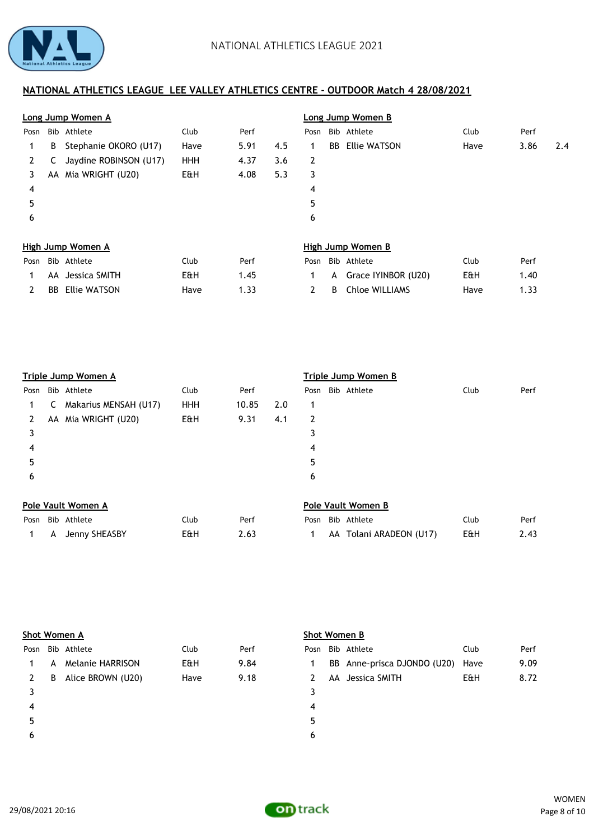

|      |    | Long Jump Women A      |            |      |     | Long Jump Women B |    |                       |      |      |     |
|------|----|------------------------|------------|------|-----|-------------------|----|-----------------------|------|------|-----|
| Posn |    | Bib Athlete            | Club       | Perf |     | Posn              |    | Bib Athlete           | Club | Perf |     |
| 1.   | B  | Stephanie OKORO (U17)  | Have       | 5.91 | 4.5 | 1                 | BB | Ellie WATSON          | Have | 3.86 | 2.4 |
| 2    |    | Jaydine ROBINSON (U17) | <b>HHH</b> | 4.37 | 3.6 | 2                 |    |                       |      |      |     |
| 3.   | AA | Mia WRIGHT (U20)       | E&H        | 4.08 | 5.3 | 3                 |    |                       |      |      |     |
| 4    |    |                        |            |      |     | 4                 |    |                       |      |      |     |
| 5    |    |                        |            |      |     | 5                 |    |                       |      |      |     |
| 6    |    |                        |            |      |     | 6                 |    |                       |      |      |     |
|      |    | High Jump Women A      |            |      |     |                   |    | High Jump Women B     |      |      |     |
| Posn |    | Bib Athlete            | Club       | Perf |     | Posn              |    | Bib Athlete           | Club | Perf |     |
|      | AA | Jessica SMITH          | E&H        | 1.45 |     | 1.                | A  | Grace IYINBOR (U20)   | E&H  | 1.40 |     |
|      | BB | Ellie WATSON           | Have       | 1.33 |     | $\mathbf{2}$      | B  | <b>Chloe WILLIAMS</b> | Have | 1.33 |     |

|      |    | Triple Jump Women A   |            |       |     | Triple Jump Women B |  |                           |      |      |  |
|------|----|-----------------------|------------|-------|-----|---------------------|--|---------------------------|------|------|--|
| Posn |    | Bib Athlete           | Club       | Perf  |     | Posn                |  | Bib Athlete               | Club | Perf |  |
| 1.   | c  | Makarius MENSAH (U17) | <b>HHH</b> | 10.85 | 2.0 | 1                   |  |                           |      |      |  |
| 2    | AA | Mia WRIGHT (U20)      | E&H        | 9.31  | 4.1 | 2                   |  |                           |      |      |  |
| 3    |    |                       |            |       |     | 3                   |  |                           |      |      |  |
| 4    |    |                       |            |       |     | 4                   |  |                           |      |      |  |
| 5    |    |                       |            |       |     | 5                   |  |                           |      |      |  |
| 6    |    |                       |            |       |     | 6                   |  |                           |      |      |  |
|      |    | Pole Vault Women A    |            |       |     |                     |  | <b>Pole Vault Women B</b> |      |      |  |
| Posn |    | Bib Athlete           | Club       | Perf  |     | Posn                |  | Bib Athlete               | Club | Perf |  |
|      | A  | Jenny SHEASBY         | E&H        | 2.63  |     |                     |  | AA Tolani ARADEON (U17)   | E&H  | 2.43 |  |

|      |   | Shot Women A            |      |      |      | Shot Women B |                             |      |      |  |  |
|------|---|-------------------------|------|------|------|--------------|-----------------------------|------|------|--|--|
| Posn |   | Bib Athlete             | Club | Perf | Posn |              | Bib Athlete                 | Club | Perf |  |  |
|      | А | <b>Melanie HARRISON</b> | E&H  | 9.84 |      |              | BB Anne-prisca DJONDO (U20) | Have | 9.09 |  |  |
|      | B | Alice BROWN (U20)       | Have | 9.18 | 2    |              | AA Jessica SMITH            | E&H  | 8.72 |  |  |
|      |   |                         |      |      | 3    |              |                             |      |      |  |  |
| 4    |   |                         |      |      | 4    |              |                             |      |      |  |  |
| 5    |   |                         |      |      | 5    |              |                             |      |      |  |  |
| 6    |   |                         |      |      | 6    |              |                             |      |      |  |  |
|      |   |                         |      |      |      |              |                             |      |      |  |  |

|     | Posn Bib Athlete                   | Club | Perf |
|-----|------------------------------------|------|------|
|     | 1 BB Anne-prisca DJONDO (U20) Have |      | 9.09 |
|     | 2 AA Jessica SMITH                 | E&H  | 8.72 |
| - 3 |                                    |      |      |

- 
- 
- 

29/08/2021 20:16

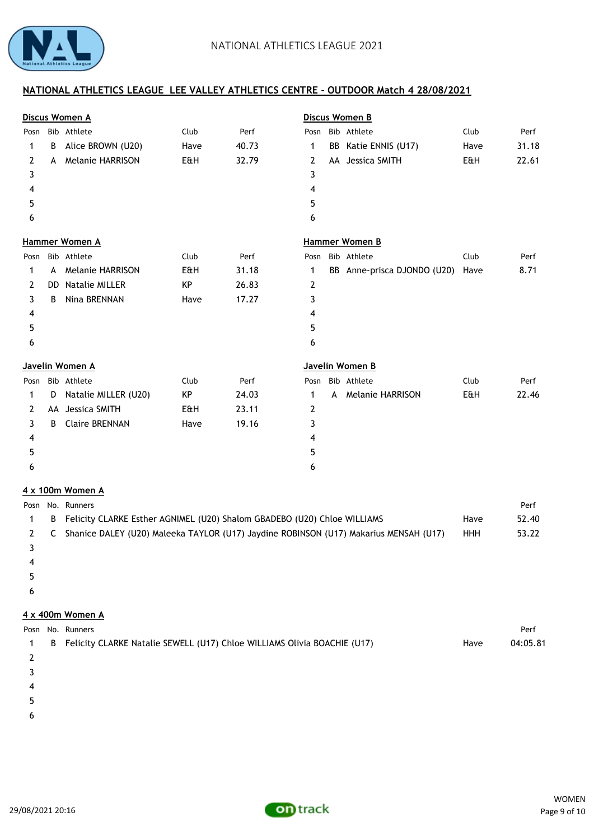

|      |   | Discus Women A                                                           |      |       |                 |   | Discus Women B              |      |       |
|------|---|--------------------------------------------------------------------------|------|-------|-----------------|---|-----------------------------|------|-------|
| Posn |   | Bib Athlete                                                              | Club | Perf  | Posn            |   | Bib Athlete                 | Club | Perf  |
| 1    | В | Alice BROWN (U20)                                                        | Have | 40.73 | 1               |   | BB Katie ENNIS (U17)        | Have | 31.18 |
| 2    | A | <b>Melanie HARRISON</b>                                                  | E&H  | 32.79 | 2               |   | AA Jessica SMITH            | E&H  | 22.61 |
| 3    |   |                                                                          |      |       | 3               |   |                             |      |       |
| 4    |   |                                                                          |      |       | 4               |   |                             |      |       |
| 5    |   |                                                                          |      |       | 5               |   |                             |      |       |
| 6    |   |                                                                          |      |       | 6               |   |                             |      |       |
|      |   | Hammer Women A                                                           |      |       |                 |   | Hammer Women B              |      |       |
| Posn |   | Bib Athlete                                                              | Club | Perf  | Posn            |   | Bib Athlete                 | Club | Perf  |
| 1    | A | <b>Melanie HARRISON</b>                                                  | E&H  | 31.18 | $\mathbf{1}$    |   | BB Anne-prisca DJONDO (U20) | Have | 8.71  |
| 2    |   | DD Natalie MILLER                                                        | KP   | 26.83 | 2               |   |                             |      |       |
| 3    | B | Nina BRENNAN                                                             | Have | 17.27 | 3               |   |                             |      |       |
| 4    |   |                                                                          |      |       | 4               |   |                             |      |       |
| 5    |   |                                                                          |      |       | 5               |   |                             |      |       |
| 6    |   |                                                                          |      |       | 6               |   |                             |      |       |
|      |   | Javelin Women A                                                          |      |       | Javelin Women B |   |                             |      |       |
| Posn |   | Bib Athlete                                                              | Club | Perf  | Posn            |   | Bib Athlete                 | Club | Perf  |
| 1    | D | Natalie MILLER (U20)                                                     | KP   | 24.03 | $\mathbf{1}$    | A | <b>Melanie HARRISON</b>     | E&H  | 22.46 |
| 2    |   | AA Jessica SMITH                                                         | E&H  | 23.11 | 2               |   |                             |      |       |
| 3    | B | <b>Claire BRENNAN</b>                                                    | Have | 19.16 | 3               |   |                             |      |       |
| 4    |   |                                                                          |      |       | 4               |   |                             |      |       |
| 5    |   |                                                                          |      |       | 5               |   |                             |      |       |
| 6    |   |                                                                          |      |       | 6               |   |                             |      |       |
|      |   | 4 x 100m Women A                                                         |      |       |                 |   |                             |      |       |
| Posn |   | No. Runners                                                              |      |       |                 |   |                             |      | Perf  |
| 1    | B | Felicity CLARKE Esther AGNIMEL (U20) Shalom GBADEBO (U20) Chloe WILLIAMS |      |       |                 |   |                             | Have | 52.40 |
|      |   |                                                                          |      |       |                 |   |                             |      |       |

2 C Shanice DALEY (U20) Maleeka TAYLOR (U17) Jaydine ROBINSON (U17) Makarius MENSAH (U17) HHH 53.22 3 4

- $5<sub>5</sub>$
- 
- $\epsilon$

# **4 x 400m Women A**

|  | Posn No. Runners                                                           |      | Perf     |
|--|----------------------------------------------------------------------------|------|----------|
|  | B Felicity CLARKE Natalie SEWELL (U17) Chloe WILLIAMS Olivia BOACHIE (U17) | Have | 04:05.81 |
|  |                                                                            |      |          |
|  |                                                                            |      |          |
|  |                                                                            |      |          |

- $5<sub>5</sub>$
- $\epsilon$